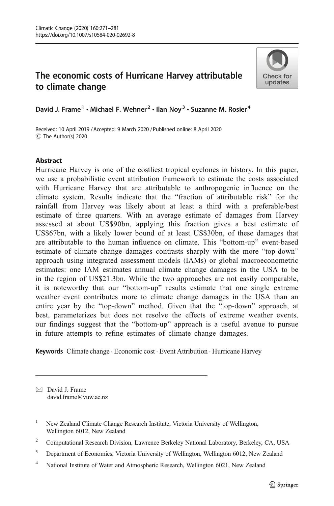# The economic costs of Hurricane Harvey attributable to climate change



David J. Frame<sup>1</sup> • Michael F. Wehner<sup>2</sup> • Ilan Noy<sup>3</sup> • Suzanne M. Rosier<sup>4</sup>

Received: 10 April 2019 / Accepted: 9 March 2020 /Published online: 8 April 2020 C The Author(s) 2020

## **Abstract**

Hurricane Harvey is one of the costliest tropical cyclones in history. In this paper, we use a probabilistic event attribution framework to estimate the costs associated with Hurricane Harvey that are attributable to anthropogenic influence on the climate system. Results indicate that the "fraction of attributable risk" for the rainfall from Harvey was likely about at least a third with a preferable/best estimate of three quarters. With an average estimate of damages from Harvey assessed at about US\$90bn, applying this fraction gives a best estimate of US\$67bn, with a likely lower bound of at least US\$30bn, of these damages that are attributable to the human influence on climate. This "bottom-up" event-based estimate of climate change damages contrasts sharply with the more "top-down" approach using integrated assessment models (IAMs) or global macroeconometric estimates: one IAM estimates annual climate change damages in the USA to be in the region of US\$21.3bn. While the two approaches are not easily comparable, it is noteworthy that our "bottom-up" results estimate that one single extreme weather event contributes more to climate change damages in the USA than an entire year by the "top-down" method. Given that the "top-down" approach, at best, parameterizes but does not resolve the effects of extreme weather events, our findings suggest that the "bottom-up" approach is a useful avenue to pursue in future attempts to refine estimates of climate change damages.

Keywords Climate change . Economic cost . Event Attribution . Hurricane Harvey

 $\boxtimes$  David J. Frame [david.frame@vuw.ac.nz](mailto:david.frame@vuw.ac.nz)

<sup>&</sup>lt;sup>1</sup> New Zealand Climate Change Research Institute, Victoria University of Wellington, Wellington 6012, New Zealand

<sup>&</sup>lt;sup>2</sup> Computational Research Division, Lawrence Berkeley National Laboratory, Berkeley, CA, USA

<sup>&</sup>lt;sup>3</sup> Department of Economics, Victoria University of Wellington, Wellington 6012, New Zealand

<sup>&</sup>lt;sup>4</sup> National Institute of Water and Atmospheric Research, Wellington 6021, New Zealand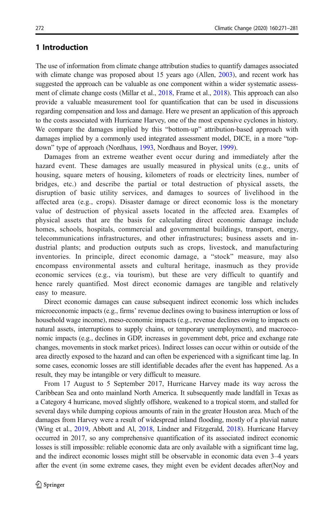# 1 Introduction

The use of information from climate change attribution studies to quantify damages associated with climate change was proposed about 15 years ago (Allen, [2003](#page-9-0)), and recent work has suggested the approach can be valuable as one component within a wider systematic assessment of climate change costs (Millar et al., [2018,](#page-9-0) Frame et al., [2018](#page-9-0)). This approach can also provide a valuable measurement tool for quantification that can be used in discussions regarding compensation and loss and damage. Here we present an application of this approach to the costs associated with Hurricane Harvey, one of the most expensive cyclones in history. We compare the damages implied by this "bottom-up" attribution-based approach with damages implied by a commonly used integrated assessment model, DICE, in a more "topdown" type of approach (Nordhaus, [1993](#page-9-0), Nordhaus and Boyer, [1999\)](#page-9-0).

Damages from an extreme weather event occur during and immediately after the hazard event. These damages are usually measured in physical units (e.g., units of housing, square meters of housing, kilometers of roads or electricity lines, number of bridges, etc.) and describe the partial or total destruction of physical assets, the disruption of basic utility services, and damages to sources of livelihood in the affected area (e.g., crops). Disaster damage or direct economic loss is the monetary value of destruction of physical assets located in the affected area. Examples of physical assets that are the basis for calculating direct economic damage include homes, schools, hospitals, commercial and governmental buildings, transport, energy, telecommunications infrastructures, and other infrastructures; business assets and industrial plants; and production outputs such as crops, livestock, and manufacturing inventories. In principle, direct economic damage, a "stock" measure, may also encompass environmental assets and cultural heritage, inasmuch as they provide economic services (e.g., via tourism), but these are very difficult to quantify and hence rarely quantified. Most direct economic damages are tangible and relatively easy to measure.

Direct economic damages can cause subsequent indirect economic loss which includes microeconomic impacts (e.g., firms' revenue declines owing to business interruption or loss of household wage income), meso-economic impacts (e.g., revenue declines owing to impacts on natural assets, interruptions to supply chains, or temporary unemployment), and macroeconomic impacts (e.g., declines in GDP, increases in government debt, price and exchange rate changes, movements in stock market prices). Indirect losses can occur within or outside of the area directly exposed to the hazard and can often be experienced with a significant time lag. In some cases, economic losses are still identifiable decades after the event has happened. As a result, they may be intangible or very difficult to measure.

From 17 August to 5 September 2017, Hurricane Harvey made its way across the Caribbean Sea and onto mainland North America. It subsequently made landfall in Texas as a Category 4 hurricane, moved slightly offshore, weakened to a tropical storm, and stalled for several days while dumping copious amounts of rain in the greater Houston area. Much of the damages from Harvey were a result of widespread inland flooding, mostly of a pluvial nature (Wing et al., [2019](#page-10-0), Abbott and Al, [2018](#page-8-0), Lindner and Fitzgerald, [2018\)](#page-9-0). Hurricane Harvey occurred in 2017, so any comprehensive quantification of its associated indirect economic losses is still impossible: reliable economic data are only available with a significant time lag, and the indirect economic losses might still be observable in economic data even 3–4 years after the event (in some extreme cases, they might even be evident decades after(Noy and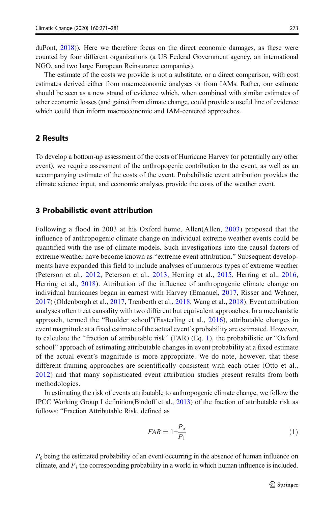duPont, [2018\)](#page-9-0)). Here we therefore focus on the direct economic damages, as these were counted by four different organizations (a US Federal Government agency, an international NGO, and two large European Reinsurance companies).

The estimate of the costs we provide is not a substitute, or a direct comparison, with cost estimates derived either from macroeconomic analyses or from IAMs. Rather, our estimate should be seen as a new strand of evidence which, when combined with similar estimates of other economic losses (and gains) from climate change, could provide a useful line of evidence which could then inform macroeconomic and IAM-centered approaches.

#### 2 Results

To develop a bottom-up assessment of the costs of Hurricane Harvey (or potentially any other event), we require assessment of the anthropogenic contribution to the event, as well as an accompanying estimate of the costs of the event. Probabilistic event attribution provides the climate science input, and economic analyses provide the costs of the weather event.

## 3 Probabilistic event attribution

Following a flood in 2003 at his Oxford home, Allen(Allen, [2003\)](#page-9-0) proposed that the influence of anthropogenic climate change on individual extreme weather events could be quantified with the use of climate models. Such investigations into the causal factors of extreme weather have become known as "extreme event attribution." Subsequent developments have expanded this field to include analyses of numerous types of extreme weather (Peterson et al., [2012](#page-9-0), Peterson et al., [2013](#page-10-0), Herring et al., [2015](#page-9-0), Herring et al., [2016](#page-9-0), Herring et al., [2018](#page-9-0)). Attribution of the influence of anthropogenic climate change on individual hurricanes began in earnest with Harvey (Emanuel, [2017,](#page-9-0) Risser and Wehner, [2017](#page-10-0)) (Oldenborgh et al., [2017](#page-9-0), Trenberth et al., [2018](#page-10-0), Wang et al., [2018\)](#page-10-0). Event attribution analyses often treat causality with two different but equivalent approaches. In a mechanistic approach, termed the "Boulder school"(Easterling et al., [2016\)](#page-9-0), attributable changes in event magnitude at a fixed estimate of the actual event's probability are estimated. However, to calculate the "fraction of attributable risk" (FAR) (Eq. 1), the probabilistic or "Oxford school" approach of estimating attributable changes in event probability at a fixed estimate of the actual event's magnitude is more appropriate. We do note, however, that these different framing approaches are scientifically consistent with each other (Otto et al., [2012](#page-9-0)) and that many sophisticated event attribution studies present results from both methodologies.

In estimating the risk of events attributable to anthropogenic climate change, we follow the IPCC Working Group I definition(Bindoff et al., [2013\)](#page-9-0) of the fraction of attributable risk as follows: "Fraction Attributable Risk, defined as

$$
FAR = 1 - \frac{P_o}{P_1} \tag{1}
$$

 $P_0$  being the estimated probability of an event occurring in the absence of human influence on climate, and  $P_1$  the corresponding probability in a world in which human influence is included.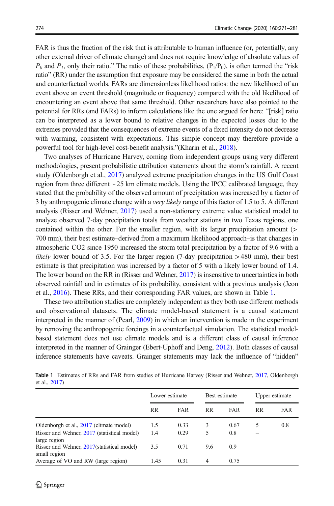<span id="page-3-0"></span>FAR is thus the fraction of the risk that is attributable to human influence (or, potentially, any other external driver of climate change) and does not require knowledge of absolute values of  $P_0$  and  $P_1$ , only their ratio." The ratio of these probabilities,  $(P_1/P_0)$ , is often termed the "risk" ratio" (RR) under the assumption that exposure may be considered the same in both the actual and counterfactual worlds. FARs are dimensionless likelihood ratios: the new likelihood of an event above an event threshold (magnitude or frequency) compared with the old likelihood of encountering an event above that same threshold. Other researchers have also pointed to the potential for RRs (and FARs) to inform calculations like the one argued for here: "[risk] ratio can be interpreted as a lower bound to relative changes in the expected losses due to the extremes provided that the consequences of extreme events of a fixed intensity do not decrease with warming, consistent with expectations. This simple concept may therefore provide a powerful tool for high-level cost-benefit analysis."(Kharin et al., [2018](#page-9-0)).

Two analyses of Hurricane Harvey, coming from independent groups using very different methodologies, present probabilistic attribution statements about the storm's rainfall. A recent study (Oldenborgh et al., [2017](#page-9-0)) analyzed extreme precipitation changes in the US Gulf Coast region from three different  $\sim$  25 km climate models. Using the IPCC calibrated language, they stated that the probability of the observed amount of precipitation was increased by a factor of 3 by anthropogenic climate change with a *very likely* range of this factor of 1.5 to 5. A different analysis (Risser and Wehner, [2017\)](#page-10-0) used a non-stationary extreme value statistical model to analyze observed 7-day precipitation totals from weather stations in two Texas regions, one contained within the other. For the smaller region, with its larger precipitation amount (> 700 mm), their best estimate–derived from a maximum likelihood approach–is that changes in atmospheric CO2 since 1950 increased the storm total precipitation by a factor of 9.6 with a likely lower bound of 3.5. For the larger region  $(7$ -day precipitation  $> 480$  mm), their best estimate is that precipitation was increased by a factor of 5 with a likely lower bound of 1.4. The lower bound on the RR in (Risser and Wehner, [2017\)](#page-10-0) is insensitive to uncertainties in both observed rainfall and in estimates of its probability, consistent with a previous analysis (Jeon et al., [2016](#page-9-0)). These RRs, and their corresponding FAR values, are shown in Table 1.

These two attribution studies are completely independent as they both use different methods and observational datasets. The climate model-based statement is a causal statement interpreted in the manner of (Pearl, [2009\)](#page-9-0) in which an intervention is made in the experiment by removing the anthropogenic forcings in a counterfactual simulation. The statistical modelbased statement does not use climate models and is a different class of causal inference interpreted in the manner of Grainger (Ebert-Uphoff and Deng, [2012\)](#page-9-0). Both classes of causal inference statements have caveats. Grainger statements may lack the influence of "hidden"

|               | <b>Table 1</b> Estimates of RRs and FAR from studies of Hurricane Harvey (Risser and Wehner, 2017, Oldenborgh |  |  |  |  |  |  |  |
|---------------|---------------------------------------------------------------------------------------------------------------|--|--|--|--|--|--|--|
| et al., 2017) |                                                                                                               |  |  |  |  |  |  |  |
|               |                                                                                                               |  |  |  |  |  |  |  |

|                                                             | Lower estimate |      |                | Best estimate | Upper estimate |     |
|-------------------------------------------------------------|----------------|------|----------------|---------------|----------------|-----|
|                                                             | <b>RR</b>      | FAR  | <b>RR</b>      | FAR           | RR             | FAR |
| Oldenborgh et al., 2017 (climate model)                     | 1.5            | 0.33 | 3              | 0.67          | 5              | 0.8 |
| Risser and Wehner, 2017 (statistical model)<br>large region | 1.4            | 0.29 | 5              | 0.8           |                |     |
| Risser and Wehner, 2017 (statistical model)<br>small region | 3.5            | 0.71 | 9.6            | 0.9           |                |     |
| Average of VO and RW (large region)                         | 1.45           | 0.31 | $\overline{4}$ | 0.75          |                |     |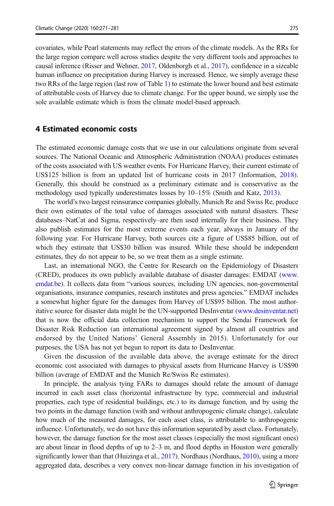covariates, while Pearl statements may reflect the errors of the climate models. As the RRs for the large region compare well across studies despite the very different tools and approaches to causal inference (Risser and Wehner, [2017](#page-10-0), Oldenborgh et al., [2017\)](#page-9-0), confidence in a sizeable human influence on precipitation during Harvey is increased. Hence, we simply average these two RRs of the large region (last row of Table [1](#page-3-0)) to estimate the lower bound and best estimate of attributable costs of Harvey due to climate change. For the upper bound, we simply use the sole available estimate which is from the climate model-based approach.

#### 4 Estimated economic costs

The estimated economic damage costs that we use in our calculations originate from several sources. The National Oceanic and Atmospheric Administration (NOAA) produces estimates of the costs associated with US weather events. For Hurricane Harvey, their current estimate of US\$125 billion is from an updated list of hurricane costs in 2017 (Information, [2018](#page-9-0)). Generally, this should be construed as a preliminary estimate and is conservative as the methodology used typically underestimates losses by 10–15% (Smith and Katz, [2013](#page-10-0)).

The world's two largest reinsurance companies globally, Munich Re and Swiss Re, produce their own estimates of the total value of damages associated with natural disasters. These databases–NatCat and Sigma, respectively–are then used internally for their business. They also publish estimates for the most extreme events each year, always in January of the following year. For Hurricane Harvey, both sources cite a figure of US\$85 billion, out of which they estimate that US\$30 billion was insured. While these should be independent estimates, they do not appear to be, so we treat them as a single estimate.

Last, an international NGO, the Centre for Research on the Epidemiology of Disasters (CRED), produces its own publicly available database of disaster damages: EMDAT ([www.](http://www.emdat.be) [emdat.be](http://www.emdat.be)). It collects data from "various sources, including UN agencies, non-governmental organisations, insurance companies, research institutes and press agencies." EMDAT includes a somewhat higher figure for the damages from Harvey of US\$95 billion. The most authoritative source for disaster data might be the UN-supported DesInventar ([www.desinventar.net\)](http://www.desinventar.net) that is now the official data collection mechanism to support the Sendai Framework for Disaster Risk Reduction (an international agreement signed by almost all countries and endorsed by the United Nations' General Assembly in 2015). Unfortunately for our purposes, the USA has not yet begun to report its data to DesInventar.

Given the discussion of the available data above, the average estimate for the direct economic cost associated with damages to physical assets from Hurricane Harvey is US\$90 billion (average of EMDAT and the Munich Re/Swiss Re estimates).

In principle, the analysis tying FARs to damages should relate the amount of damage incurred in each asset class (horizontal infrastructure by type, commercial and industrial properties, each type of residential buildings, etc.) to its damage function, and by using the two points in the damage function (with and without anthropogenic climate change), calculate how much of the measured damages, for each asset class, is attributable to anthropogenic influence. Unfortunately, we do not have this information separated by asset class. Fortunately, however, the damage function for the most asset classes (especially the most significant ones) are about linear in flood depths of up to 2–3 m, and flood depths in Houston were generally significantly lower than that (Huizinga et al., [2017\)](#page-9-0). Nordhaus (Nordhaus, [2010\)](#page-9-0), using a more aggregated data, describes a very convex non-linear damage function in his investigation of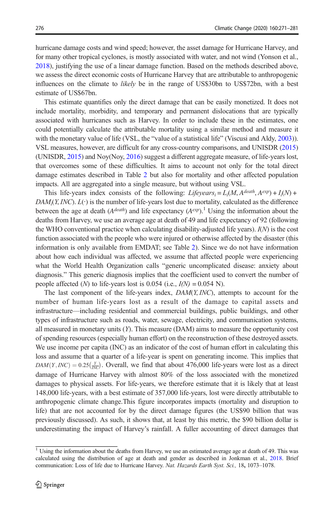hurricane damage costs and wind speed; however, the asset damage for Hurricane Harvey, and for many other tropical cyclones, is mostly associated with water, and not wind (Yonson et al., [2018](#page-10-0)), justifying the use of a linear damage function. Based on the methods described above, we assess the direct economic costs of Hurricane Harvey that are attributable to anthropogenic influences on the climate to *likely* be in the range of US\$30bn to US\$72bn, with a best estimate of US\$67bn.

This estimate quantifies only the direct damage that can be easily monetized. It does not include mortality, morbidity, and temporary and permanent dislocations that are typically associated with hurricanes such as Harvey. In order to include these in the estimates, one could potentially calculate the attributable mortality using a similar method and measure it with the monetary value of life (VSL, the "value of a statistical life" (Viscusi and Aldy, [2003](#page-10-0))). VSL measures, however, are difficult for any cross-country comparisons, and UNISDR [\(2015\)](#page-10-0) (UNISDR, [2015](#page-10-0)) and Noy(Noy, [2016\)](#page-9-0) suggest a different aggregate measure, of life-years lost, that overcomes some of these difficulties. It aims to account not only for the total direct damage estimates described in Table [2](#page-6-0) but also for mortality and other affected population impacts. All are aggregated into a single measure, but without using VSL.

This life-years index consists of the following: Lifeyears<sub>i</sub> = L<sub>i</sub>(M, Adeath, Aexp) + I<sub>i</sub>(N) +  $DAM_i(Y, INC)$ .  $L(·)$  is the number of life-years lost due to mortality, calculated as the difference between the age at death ( $A^{death}$ ) and life expectancy ( $A^{exp}$ ).<sup>1</sup> Using the information about the deaths from Harvey, we use an average age at death of 49 and life expectancy of 92 (following the WHO conventional practice when calculating disability-adjusted life years).  $I(N)$  is the cost function associated with the people who were injured or otherwise affected by the disaster (this information is only available from EMDAT; see Table [2\)](#page-6-0). Since we do not have information about how each individual was affected, we assume that affected people were experiencing what the World Health Organization calls "generic uncomplicated disease: anxiety about diagnosis." This generic diagnosis implies that the coefficient used to convert the number of people affected (N) to life-years lost is 0.054 (i.e.,  $I(N) = 0.054$  N).

The last component of the life-years index,  $DAM(Y, INC)$ , attempts to account for the number of human life-years lost as a result of the damage to capital assets and infrastructure—including residential and commercial buildings, public buildings, and other types of infrastructure such as roads, water, sewage, electricity, and communication systems, all measured in monetary units  $(Y)$ . This measure  $(DAM)$  aims to measure the opportunity cost of spending resources (especially human effort) on the reconstruction of these destroyed assets. We use income per capita (INC) as an indicator of the cost of human effort in calculating this loss and assume that a quarter of a life-year is spent on generating income. This implies that  $DAM(Y, INC) = 0.25(\frac{Y}{INC})$ . Overall, we find that about 476,000 life-years were lost as a direct damage of Hurricane Harvey with almost 80% of the loss associated with the monetized damages to physical assets. For life-years, we therefore estimate that it is likely that at least 148,000 life-years, with a best estimate of 357,000 life-years, lost were directly attributable to anthropogenic climate change.This figure incorporates impacts (mortality and disruption to life) that are not accounted for by the direct damage figures (the US\$90 billion that was previously discussed). As such, it shows that, at least by this metric, the \$90 billion dollar is underestimating the impact of Harvey's rainfall. A fuller accounting of direct damages that

<sup>&</sup>lt;sup>1</sup> Using the information about the deaths from Harvey, we use an estimated average age at death of 49. This was calculated using the distribution of age at death and gender as described in Jonkman et al., [2018](#page-9-0). Brief communication: Loss of life due to Hurricane Harvey. Nat. Hazards Earth Syst. Sci., 18, 1073-1078.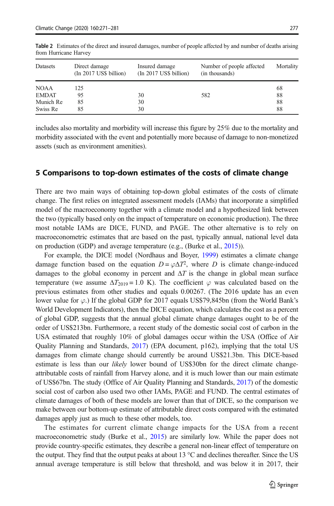| Datasets     | Direct damage<br>$(In 2017$ US\$ billion) | Insured damage<br>$(In 2017$ US\$ billion) | Number of people affected<br>(in thousands) | Mortality |
|--------------|-------------------------------------------|--------------------------------------------|---------------------------------------------|-----------|
| <b>NOAA</b>  | 125                                       |                                            |                                             | 68        |
| <b>EMDAT</b> | 95                                        | 30                                         | 582                                         | 88        |
| Munich Re    | 85                                        | 30                                         |                                             | 88        |
| Swiss Re     | 85                                        | 30                                         |                                             | 88        |

<span id="page-6-0"></span>Table 2 Estimates of the direct and insured damages, number of people affected by and number of deaths arising from Hurricane Harvey

includes also mortality and morbidity will increase this figure by 25% due to the mortality and morbidity associated with the event and potentially more because of damage to non-monetized assets (such as environment amenities).

#### 5 Comparisons to top-down estimates of the costs of climate change

There are two main ways of obtaining top-down global estimates of the costs of climate change. The first relies on integrated assessment models (IAMs) that incorporate a simplified model of the macroeconomy together with a climate model and a hypothesized link between the two (typically based only on the impact of temperature on economic production). The three most notable IAMs are DICE, FUND, and PAGE. The other alternative is to rely on macroeconometric estimates that are based on the past, typically annual, national level data on production (GDP) and average temperature (e.g., (Burke et al., [2015\)](#page-9-0)).

For example, the DICE model (Nordhaus and Boyer, [1999](#page-9-0)) estimates a climate change damage function based on the equation  $D = \varphi \Delta T^2$ , where D is climate change-induced damages to the global economy in percent and  $\Delta T$  is the change in global mean surface temperature (we assume  $\Delta T_{2019} = 1.0$  K). The coefficient  $\varphi$  was calculated based on the previous estimates from other studies and equals 0.00267. (The 2016 update has an even lower value for  $\varphi$ .) If the global GDP for 2017 equals US\$79,845bn (from the World Bank's World Development Indicators), then the DICE equation, which calculates the cost as a percent of global GDP, suggests that the annual global climate change damages ought to be of the order of US\$213bn. Furthermore, a recent study of the domestic social cost of carbon in the USA estimated that roughly 10% of global damages occur within the USA (Office of Air Quality Planning and Standards, [2017\)](#page-9-0) (EPA document, p162), implying that the total US damages from climate change should currently be around US\$21.3bn. This DICE-based estimate is less than our *likely* lower bound of US\$30bn for the direct climate changeattributable costs of rainfall from Harvey alone, and it is much lower than our main estimate of US\$67bn. The study (Office of Air Quality Planning and Standards, [2017](#page-9-0)) of the domestic social cost of carbon also used two other IAMs, PAGE and FUND. The central estimates of climate damages of both of these models are lower than that of DICE, so the comparison we make between our bottom-up estimate of attributable direct costs compared with the estimated damages apply just as much to these other models, too.

The estimates for current climate change impacts for the USA from a recent macroeconometric study (Burke et al., [2015](#page-9-0)) are similarly low. While the paper does not provide country-specific estimates, they describe a general non-linear effect of temperature on the output. They find that the output peaks at about 13 °C and declines thereafter. Since the US annual average temperature is still below that threshold, and was below it in 2017, their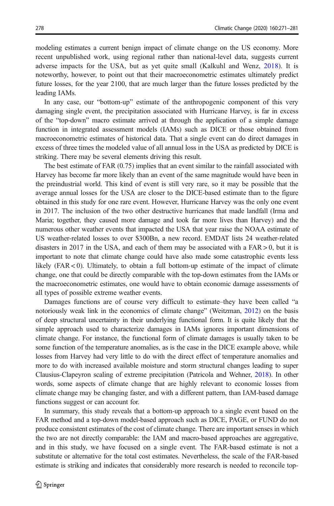modeling estimates a current benign impact of climate change on the US economy. More recent unpublished work, using regional rather than national-level data, suggests current adverse impacts for the USA, but as yet quite small (Kalkuhl and Wenz, [2018](#page-9-0)). It is noteworthy, however, to point out that their macroeconometric estimates ultimately predict future losses, for the year 2100, that are much larger than the future losses predicted by the leading IAMs.

In any case, our "bottom-up" estimate of the anthropogenic component of this very damaging single event, the precipitation associated with Hurricane Harvey, is far in excess of the "top-down" macro estimate arrived at through the application of a simple damage function in integrated assessment models (IAMs) such as DICE or those obtained from macroeconometric estimates of historical data. That a single event can do direct damages in excess of three times the modeled value of all annual loss in the USA as predicted by DICE is striking. There may be several elements driving this result.

The best estimate of FAR (0.75) implies that an event similar to the rainfall associated with Harvey has become far more likely than an event of the same magnitude would have been in the preindustrial world. This kind of event is still very rare, so it may be possible that the average annual losses for the USA are closer to the DICE-based estimate than to the figure obtained in this study for one rare event. However, Hurricane Harvey was the only one event in 2017. The inclusion of the two other destructive hurricanes that made landfall (Irma and Maria; together, they caused more damage and took far more lives than Harvey) and the numerous other weather events that impacted the USA that year raise the NOAA estimate of US weather-related losses to over \$300Bn, a new record. EMDAT lists 24 weather-related disasters in 2017 in the USA, and each of them may be associated with a  $FAR > 0$ , but it is important to note that climate change could have also made some catastrophic events less likely  $(FAR < 0)$ . Ultimately, to obtain a full bottom-up estimate of the impact of climate change, one that could be directly comparable with the top-down estimates from the IAMs or the macroeconometric estimates, one would have to obtain economic damage assessments of all types of possible extreme weather events.

Damages functions are of course very difficult to estimate–they have been called "a notoriously weak link in the economics of climate change" (Weitzman, [2012](#page-10-0)) on the basis of deep structural uncertainty in their underlying functional form. It is quite likely that the simple approach used to characterize damages in IAMs ignores important dimensions of climate change. For instance, the functional form of climate damages is usually taken to be some function of the temperature anomalies, as is the case in the DICE example above, while losses from Harvey had very little to do with the direct effect of temperature anomalies and more to do with increased available moisture and storm structural changes leading to super Clausius-Clapeyron scaling of extreme precipitation (Patricola and Wehner, [2018\)](#page-9-0). In other words, some aspects of climate change that are highly relevant to economic losses from climate change may be changing faster, and with a different pattern, than IAM-based damage functions suggest or can account for.

In summary, this study reveals that a bottom-up approach to a single event based on the FAR method and a top-down model-based approach such as DICE, PAGE, or FUND do not produce consistent estimates of the cost of climate change. There are important senses in which the two are not directly comparable: the IAM and macro-based approaches are aggregative, and in this study, we have focused on a single event. The FAR-based estimate is not a substitute or alternative for the total cost estimates. Nevertheless, the scale of the FAR-based estimate is striking and indicates that considerably more research is needed to reconcile top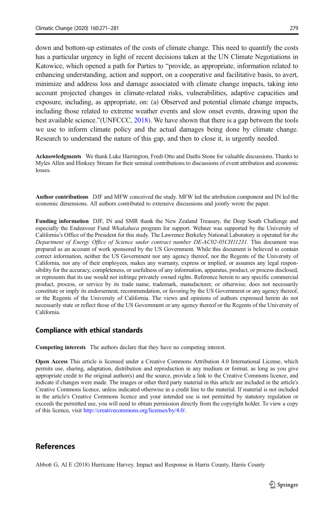<span id="page-8-0"></span>down and bottom-up estimates of the costs of climate change. This need to quantify the costs has a particular urgency in light of recent decisions taken at the UN Climate Negotiations in Katowice, which opened a path for Parties to "provide, as appropriate, information related to enhancing understanding, action and support, on a cooperative and facilitative basis, to avert, minimize and address loss and damage associated with climate change impacts, taking into account projected changes in climate-related risks, vulnerabilities, adaptive capacities and exposure, including, as appropriate, on: (a) Observed and potential climate change impacts, including those related to extreme weather events and slow onset events, drawing upon the best available science."(UNFCCC, [2018\)](#page-10-0). We have shown that there is a gap between the tools we use to inform climate policy and the actual damages being done by climate change. Research to understand the nature of this gap, and then to close it, is urgently needed.

Acknowledgments We thank Luke Harrington, Fredi Otto and Daithi Stone for valuable discussions. Thanks to Myles Allen and Hinksey Stream for their seminal contributions to discussions of event attribution and economic losses.

Author contributions DJF and MFW conceived the study. MFW led the attribution component and IN led the economic dimensions. All authors contributed to extensive discussions and jointly wrote the paper.

Funding information DJF, IN and SMR thank the New Zealand Treasury, the Deep South Challenge and especially the Endeavour Fund Whakahura program for support. Wehner was supported by the University of California's Office of the President for this study. The Lawrence Berkeley National Laboratory is operated for the Department of Energy Office of Science under contract number DE-AC02-05CH11231. This document was prepared as an account of work sponsored by the US Government. While this document is believed to contain correct information, neither the US Government nor any agency thereof, nor the Regents of the University of California, nor any of their employees, makes any warranty, express or implied, or assumes any legal responsibility for the accuracy, completeness, or usefulness of any information, apparatus, product, or process disclosed, or represents that its use would not infringe privately owned rights. Reference herein to any specific commercial product, process, or service by its trade name, trademark, manufacturer, or otherwise, does not necessarily constitute or imply its endorsement, recommendation, or favoring by the US Government or any agency thereof, or the Regents of the University of California. The views and opinions of authors expressed herein do not necessarily state or reflect those of the US Government or any agency thereof or the Regents of the University of California.

#### Compliance with ethical standards

Competing interests The authors declare that they have no competing interest.

Open Access This article is licensed under a Creative Commons Attribution 4.0 International License, which permits use, sharing, adaptation, distribution and reproduction in any medium or format, as long as you give appropriate credit to the original author(s) and the source, provide a link to the Creative Commons licence, and indicate if changes were made. The images or other third party material in this article are included in the article's Creative Commons licence, unless indicated otherwise in a credit line to the material. If material is not included in the article's Creative Commons licence and your intended use is not permitted by statutory regulation or exceeds the permitted use, you will need to obtain permission directly from the copyright holder. To view a copy of this licence, visit [http://creativecommons.org/licenses/by/4.0/.](http://creativecommons.org/licenses/by/4.0/)

## References

Abbott G, Al E (2018) Hurricane Harvey. Impact and Response in Harris County, Harris County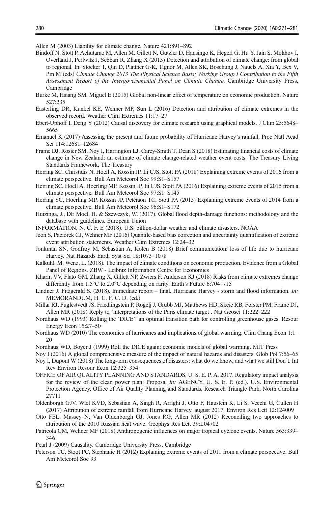<span id="page-9-0"></span>Allen M (2003) Liability for climate change. Nature 421:891–892

- Bindoff N, Stott P, Achutarao M, Allen M, Gillett N, Gutzler D, Hansingo K, Hegerl G, Hu Y, Jain S, Mokhov I, Overland J, Perlwitz J, Sebbari R, Zhang X (2013) Detection and attribution of climate change: from global to regional. In: Stocker T, Qin D, Plattner G-K, Tignor M, Allen SK, Boschung J, Nauels A, Xia Y, Bex V, Pm M (eds) Climate Change 2013 The Physical Science Basis: Working Group I Contribution to the Fifth Assessment Report of the Intergovernmental Panel on Climate Change. Cambridge University Press, Cambridge
- Burke M, Hsiang SM, Miguel E (2015) Global non-linear effect of temperature on economic production. Nature 527:235
- Easterling DR, Kunkel KE, Wehner MF, Sun L (2016) Detection and attribution of climate extremes in the observed record. Weather Clim Extremes 11:17–27
- Ebert-Uphoff I, Deng Y (2012) Causal discovery for climate research using graphical models. J Clim 25:5648– 5665
- Emanuel K (2017) Assessing the present and future probability of Hurricane Harvey's rainfall. Proc Natl Acad Sci 114:12681–12684
- Frame DJ, Rosier SM, Noy I, Harrington LJ, Carey-Smith T, Dean S (2018) Estimating financial costs of climate change in New Zealand: an estimate of climate change-related weather event costs. The Treasury Living Standards Framework, The Treasury
- Herring SC, Christidis N, Hoell A, Kossin JP, Iii CJS, Stott PA (2018) Explaining extreme events of 2016 from a climate perspective. Bull Am Meteorol Soc 99:S1–S157
- Herring SC, Hoell A, Hoerling MP, Kossin JP, Iii CJS, Stott PA (2016) Explaining extreme events of 2015 from a climate perspective. Bull Am Meteorol Soc 97:S1–S145
- Herring SC, Hoerling MP, Kossin JP, Peterson TC, Stott PA (2015) Explaining extreme events of 2014 from a climate perspective. Bull Am Meteorol Soc 96:S1–S172
- Huizinga, J., DE Moel, H. & Szewczyk, W. (2017). Global flood depth-damage functions: methodology and the database with guidelines. European Union
- INFORMATION, N. C. F. E (2018). U.S. billion-dollar weather and climate disasters. NOAA
- Jeon S, Paciorek CJ, Wehner MF (2016) Quantile-based bias correction and uncertainty quantification of extreme event attribution statements. Weather Clim Extremes 12:24–32
- Jonkman SN, Godfroy M, Sebastian A, Kolen B (2018) Brief communication: loss of life due to hurricane Harvey. Nat Hazards Earth Syst Sci 18:1073–1078
- Kalkuhl, M. Wenz, L. (2018). The impact of climate conditions on economic production. Evidence from a Global Panel of Regions. ZBW - Leibniz Information Centre for Economics
- Kharin VV, Flato GM, Zhang X, Gillett NP, Zwiers F, Anderson KJ (2018) Risks from climate extremes change differently from 1.5°C to 2.0°C depending on rarity. Earth's Future 6:704–715
- Lindner J. Fitzgerald S. (2018). Immediate report final. Hurricane Harvey storm and flood information. In: MEMORANDUM, H. C. F. C. D. (ed.)
- Millar RJ, Fuglestvedt JS, Friedlingstein P, Rogelj J, Grubb MJ, Matthews HD, Skeie RB, Forster PM, Frame DJ, Allen MR (2018) Reply to 'interpretations of the Paris climate target'. Nat Geosci 11:222–222
- Nordhaus WD (1993) Rolling the 'DICE': an optimal transition path for controlling greenhouse gases. Resour Energy Econ 15:27–50
- Nordhaus WD (2010) The economics of hurricanes and implications of global warming. Clim Chang Econ 1:1– 20
- Nordhaus WD, Boyer J (1999) Roll the DICE again: economic models of global warming. MIT Press
- Noy I (2016) A global comprehensive measure of the impact of natural hazards and disasters. Glob Pol 7:56–65 Noy I, Dupont W (2018) The long-term consequences of disasters: what do we know, and what we still Don't. Int
- Rev Environ Resour Econ 12:325–354
- OFFICE OF AIR QUALITY PLANNING AND STANDARDS, U. S. E. P. A. 2017. Regulatory impact analysis for the review of the clean power plan: Proposal In: AGENCY, U. S. E. P. (ed.). U.S. Environmental Protection Agency, Office of Air Quality Planning and Standards, Research Triangle Park, North Carolina 27711
- Oldenborgh GJV, Wiel KVD, Sebastian A, Singh R, Arrighi J, Otto F, Haustein K, Li S, Vecchi G, Cullen H (2017) Attribution of extreme rainfall from Hurricane Harvey, august 2017. Environ Res Lett 12:124009
- Otto FEL, Massey N, Van Oldenborgh GJ, Jones RG, Allen MR (2012) Reconciling two approaches to attribution of the 2010 Russian heat wave. Geophys Res Lett 39:L04702
- Patricola CM, Wehner MF (2018) Anthropogenic influences on major tropical cyclone events. Nature 563:339– 346
- Pearl J (2009) Causality. Cambridge University Press, Cambridge
- Peterson TC, Stoot PC, Stephanie H (2012) Explaining extreme events of 2011 from a climate perspective. Bull Am Meteorol Soc 93